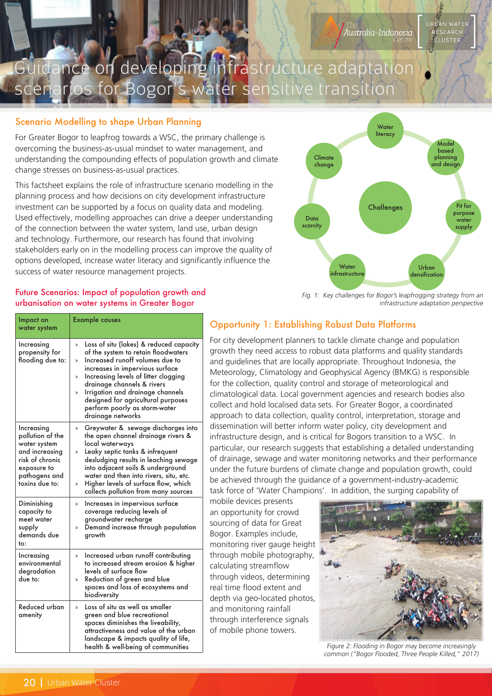

### Scenario Modelling to shape Urban Planning

For Greater Bogor to leapfrog towards a WSC, the primary challenge is overcoming the business-as-usual mindset to water management, and understanding the compounding effects of population growth and climate change stresses on business-as-usual practices.

This factsheet explains the role of infrastructure scenario modelling in the planning process and how decisions on city development infrastructure investment can be supported by a focus on quality data and modeling. Used effectively, modelling approaches can drive a deeper understanding of the connection between the water system, land use, urban design and technology. Furthermore, our research has found that involving stakeholders early on in the modelling process can improve the quality of options developed, increase water literacy and significantly influence the success of water resource management projects.



USTER

Fig. 1: Key challenges for Bogor's leapfrogging strategy from an infrastructure adaptation perspective

### Future Scenarios: Impact of population growth and urbanisation on water systems in Greater Bogor

| Impact on<br>water system                                                                                                             | <b>Example causes</b>                                                                                                                                                                                                                                                                                                                                                              |
|---------------------------------------------------------------------------------------------------------------------------------------|------------------------------------------------------------------------------------------------------------------------------------------------------------------------------------------------------------------------------------------------------------------------------------------------------------------------------------------------------------------------------------|
| Increasing<br>propensity for<br>flooding due to:                                                                                      | Loss of situ (lakes) & reduced capacity<br>X)<br>of the system to retain floodwaters<br>Increased runoff volumes due to<br>X)<br>increases in impervious surface<br>Increasing levels of litter clogging<br>X)<br>drainage channels & rivers<br>Irrigation and drainage channels<br>X)<br>designed for agricultural purposes<br>perform poorly as storm-water<br>drainage networks |
| Increasing<br>pollution of the<br>water system<br>and increasing<br>risk of chronic<br>exposure to<br>pathogens and<br>toxins due to: | Greywater & sewage discharges into<br>>><br>the open channel drainage rivers &<br>local waterways<br>Leaky septic tanks & infrequent<br>X)<br>desludging results in leaching sewage<br>into adjacent soils & underground<br>water and then into rivers, situ, etc.<br>Higher levels of surface flow, which<br>$\mathcal{E}$<br>collects pollution from many sources                |
| Diminishing<br>capacity to<br>meet water<br>supply<br>demands due<br>to:                                                              | Increases in impervious surface<br>»<br>coverage reducing levels of<br>groundwater recharge<br>Demand increase through population<br>X)<br>growth                                                                                                                                                                                                                                  |
| Increasing<br>environmental<br>degradation<br>due to:                                                                                 | Increased urban runoff contributing<br>X)<br>to increased stream erosion & higher<br>levels of surface flow<br>Reduction of green and blue<br>X)<br>spaces and loss of ecosystems and<br>biodiversity                                                                                                                                                                              |
| Reduced urban<br>amenity                                                                                                              | Loss of situ as well as smaller<br>X)<br>green and blue recreational<br>spaces diminishes the liveability,<br>attractiveness and value of the urban<br>landscape & impacts quality of life,<br>health & well-being of communities                                                                                                                                                  |

# Opportunity 1: Establishing Robust Data Platforms

For city development planners to tackle climate change and population growth they need access to robust data platforms and quality standards and guidelines that are locally appropriate. Throughout Indonesia, the Meteorology, Climatology and Geophysical Agency (BMKG) is responsible for the collection, quality control and storage of meteorological and climatological data. Local government agencies and research bodies also collect and hold localised data sets. For Greater Bogor, a coordinated approach to data collection, quality control, interpretation, storage and dissemination will better inform water policy, city development and infrastructure design, and is critical for Bogors transition to a WSC. In particular, our research suggests that establishing a detailed understanding of drainage, sewage and water monitoring networks and their performance under the future burdens of climate change and population growth, could be achieved through the guidance of a government-industry-academic task force of 'Water Champions'. In addition, the surging capability of

mobile devices presents an opportunity for crowd sourcing of data for Great Bogor. Examples include, monitoring river gauge height through mobile photography, calculating streamflow through videos, determining real time flood extent and depth via geo-located photos, and monitoring rainfall through interference signals of mobile phone towers.



Figure 2: Flooding in Bogor may become increasingly common ("Bogor Flooded, Three People Killed," 2017)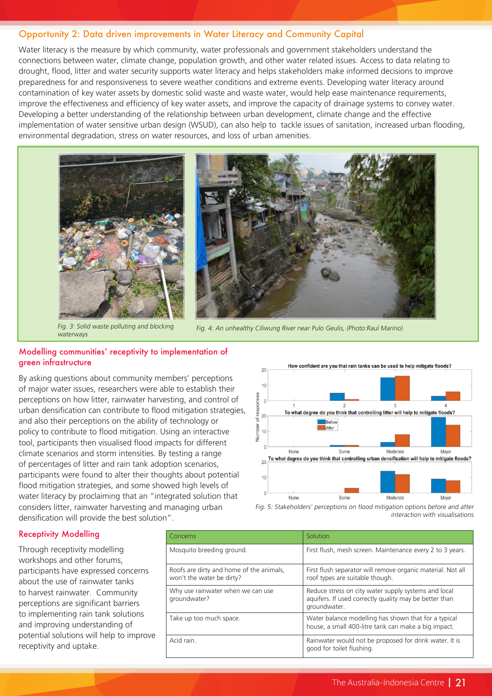### Opportunity 2: Data driven improvements in Water Literacy and Community Capital

Water literacy is the measure by which community, water professionals and government stakeholders understand the connections between water, climate change, population growth, and other water related issues. Access to data relating to drought, flood, litter and water security supports water literacy and helps stakeholders make informed decisions to improve preparedness for and responsiveness to severe weather conditions and extreme events. Developing water literacy around contamination of key water assets by domestic solid waste and waste water, would help ease maintenance requirements, improve the effectiveness and efficiency of key water assets, and improve the capacity of drainage systems to convey water. Developing a better understanding of the relationship between urban development, climate change and the effective implementation of water sensitive urban design (WSUD), can also help to tackle issues of sanitation, increased urban flooding. environmental degradation, stress on water resources, and loss of urban amenities.





Fig. 3: Solid waste polluting and blocking waterways

Fig. 4: An unhealthy Ciliwung River near Pulo Geulis, (Photo:Raul Marino)

#### Modelling communities' receptivity to implementation of green infrastructure

By asking questions about community members' perceptions of major water issues, researchers were able to establish their perceptions on how litter, rainwater harvesting, and control of urban densification can contribute to flood mitigation strategies, and also their perceptions on the ability of technology or policy to contribute to flood mitigation. Using an interactive tool, participants then visualised flood impacts for different climate scenarios and storm intensities. By testing a range of percentages of litter and rain tank adoption scenarios, participants were found to alter their thoughts about potential flood mitigation strategies, and some showed high levels of water literacy by proclaiming that an "integrated solution that considers litter, rainwater harvesting and managing urban densification will provide the best solution".





#### Receptivity Modelling

Through receptivity modelling workshops and other forums, participants have expressed concerns about the use of rainwater tanks to harvest rainwater. Community perceptions are significant barriers to implementing rain tank solutions and improving understanding of potential solutions will help to improve receptivity and uptake.

| Concerns                                                              | Solution                                                                                                                       |
|-----------------------------------------------------------------------|--------------------------------------------------------------------------------------------------------------------------------|
| Mosquito breeding ground.                                             | First flush, mesh screen. Maintenance every 2 to 3 years.                                                                      |
| Roofs are dirty and home of the animals,<br>won't the water be dirty? | First flush separator will remove organic material. Not all<br>roof types are suitable though.                                 |
| Why use rainwater when we can use<br>groundwater?                     | Reduce stress on city water supply systems and local<br>aquifers. If used correctly quality may be better than<br>groundwater. |
| Take up too much space.                                               | Water balance modelling has shown that for a typical<br>house, a small 400-litre tank can make a big impact.                   |
| Acid rain.                                                            | Rainwater would not be proposed for drink water. It is<br>good for toilet flushing.                                            |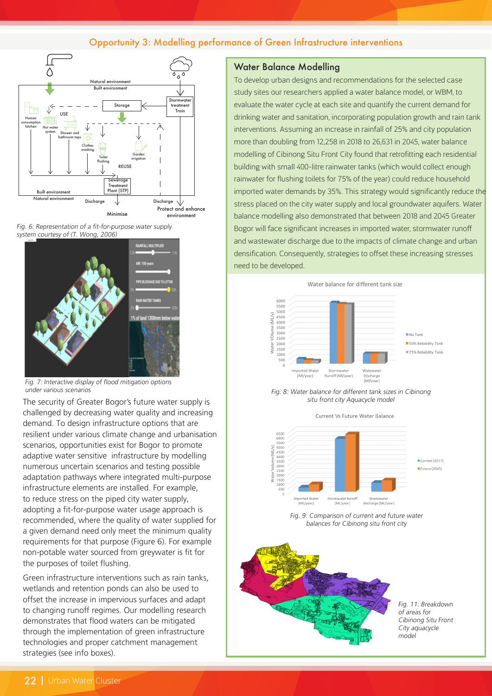## Opportunity 3: Modelling performance of Green Infrastructure interventions







Fig. 7: Interactive display of flood mitigation options under various scenarios

The security of Greater Bogor's future water supply is challenged by decreasing water quality and increasing demand. To design infrastructure options that are resilient under various climate change and urbanisation scenarios, opportunities exist for Bogor to promote adaptive water sensitive infrastructure by modelling numerous uncertain scenarios and testing possible adaptation pathways where integrated multi-purpose infrastructure elements are installed. For example, to reduce stress on the piped city water supply, adopting a fit-for-purpose water usage approach is recommended, where the quality of water supplied for a given demand need only meet the minimum quality requirements for that purpose (Figure 6). For example non-potable water sourced from greywater is fit for the purposes of toilet flushing.

Green infrastructure interventions such as rain tanks, wetlands and retention ponds can also be used to offset the increase in impervious surfaces and adapt to changing runoff regimes. Our modelling research demonstrates that flood waters can be mitigated through the implementation of green infrastructure technologies and proper catchment management strategies (see info boxes).

#### Water Balance Modelling

To develop urban designs and recommendations for the selected case study sites our researchers applied a water balance model, or WBM, to evaluate the water cycle at each site and quantify the current demand for drinking water and sanitation, incorporating population growth and rain tank interventions. Assuming an increase in rainfall of 25% and city population more than doubling from 12,258 in 2018 to 26,631 in 2045, water balance modelling of Cibinong Situ Front City found that retrofitting each residential building with small 400-litre rainwater tanks (which would collect enough rainwater for flushing toilets for 75% of the year) could reduce household imported water demands by 35%. This strategy would significantly reduce the stress placed on the city water supply and local groundwater aquifers. Water balance modelling also demonstrated that between 2018 and 2045 Greater Bogor will face significant increases in imported water, stormwater runoff and wastewater discharge due to the impacts of climate change and urban densification. Consequently, strategies to offset these increasing stresses need to be developed.





Current Vs Future Water Balance



Fig. 9: Comparison of current and future water balances for Cibinong situ front city



Fig. 11: Breakdown of areas for Cibinong Situ Front City aquacycle model